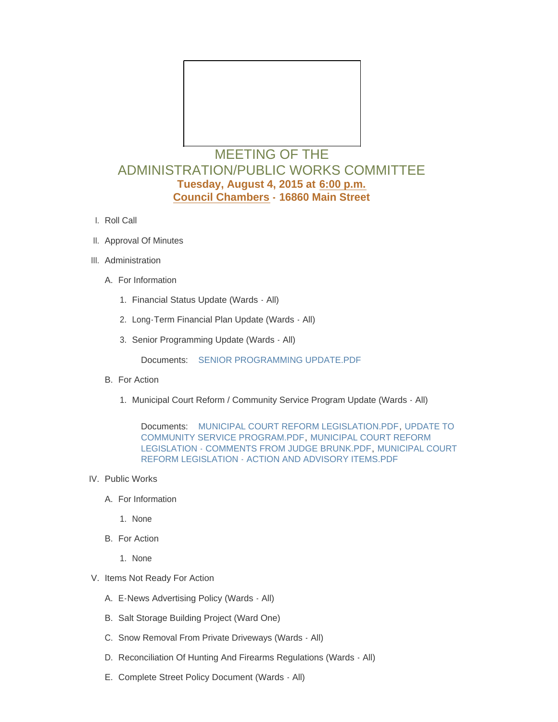

## MEETING OF THE ADMINISTRATION/PUBLIC WORKS COMMITTEE **Tuesday, August 4, 2015 at 6:00 p.m. Council Chambers - 16860 Main Street**

- l. Roll Call
- II. Approval Of Minutes
- III. Administration
	- A. For Information
		- 1. Financial Status Update (Wards All)
		- 2. Long-Term Financial Plan Update (Wards All)
		- 3. Senior Programming Update (Wards All)

Documents: [SENIOR PROGRAMMING UPDATE.PDF](http://www.cityofwildwood.com/AgendaCenter/ViewFile/Item/4451?fileID=5438)

- B. For Action
	- 1. Municipal Court Reform / Community Service Program Update (Wards All)

Documents: [MUNICIPAL COURT REFORM LEGISLATION.PDF](http://www.cityofwildwood.com/AgendaCenter/ViewFile/Item/4453?fileID=5436), UPDATE TO COMMUNITY SERVICE PROGRAM.PDF, [MUNICIPAL COURT REFORM](http://www.cityofwildwood.com/AgendaCenter/ViewFile/Item/4453?fileID=5439)  LEGISLATION - COMMENTS FROM JUDGE BRUNK.PDF, [MUNICIPAL COURT](http://www.cityofwildwood.com/AgendaCenter/ViewFile/Item/4453?fileID=5440)  REFORM LEGISLATION - ACTION AND ADVISORY ITEMS.PDF

- IV. Public Works
	- A. For Information
		- 1. None
	- B. For Action
		- 1. None
- V. Items Not Ready For Action
	- E-News Advertising Policy (Wards All) A.
	- B. Salt Storage Building Project (Ward One)
	- C. Snow Removal From Private Driveways (Wards All)
	- D. Reconciliation Of Hunting And Firearms Regulations (Wards All)
	- E. Complete Street Policy Document (Wards All)